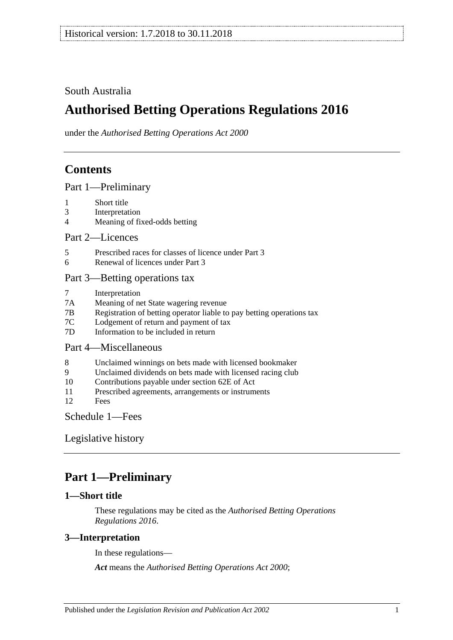South Australia

# **Authorised Betting Operations Regulations 2016**

under the *Authorised Betting Operations Act 2000*

## **Contents**

[Part 1—Preliminary](#page-0-0)

- 1 [Short title](#page-0-1)
- 3 [Interpretation](#page-0-2)
- 4 [Meaning of fixed-odds betting](#page-1-0)

Part [2—Licences](#page-2-0)

- 5 [Prescribed races for classes of licence under Part](#page-2-1) 3
- 6 [Renewal of licences under Part](#page-2-2) 3

### [Part 3—Betting operations tax](#page-2-3)

- 7 [Interpretation](#page-2-4)
- 7A [Meaning of net State wagering revenue](#page-2-5)
- 7B [Registration of betting operator liable to pay betting operations tax](#page-2-6)
- 7C [Lodgement of return and payment of tax](#page-3-0)
- 7D [Information to be included in return](#page-4-0)

## [Part 4—Miscellaneous](#page-4-1)

- 8 [Unclaimed winnings on bets made with licensed bookmaker](#page-4-2)
- 9 [Unclaimed dividends on bets made with licensed racing club](#page-5-0)
- 10 [Contributions payable under section 62E of Act](#page-5-1)
- 11 [Prescribed agreements, arrangements or instruments](#page-6-0)
- 12 [Fees](#page-6-1)

[Schedule](#page-7-0) 1—Fees

[Legislative history](#page-8-0)

## <span id="page-0-0"></span>**Part 1—Preliminary**

### <span id="page-0-1"></span>**1—Short title**

These regulations may be cited as the *Authorised Betting Operations Regulations 2016*.

### <span id="page-0-2"></span>**3—Interpretation**

In these regulations—

*Act* means the *[Authorised Betting Operations Act](http://www.legislation.sa.gov.au/index.aspx?action=legref&type=act&legtitle=Authorised%20Betting%20Operations%20Act%202000) 2000*;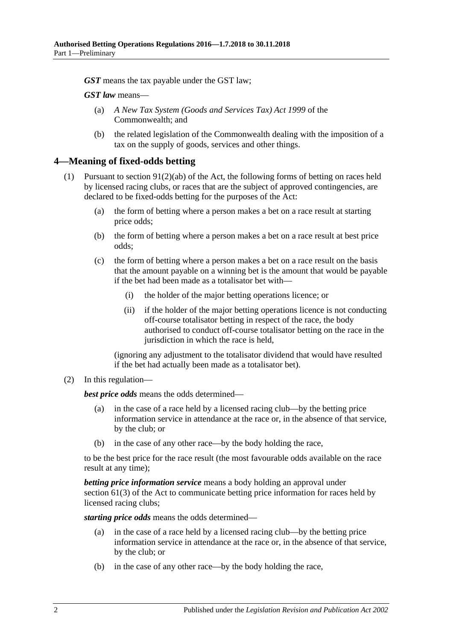*GST* means the tax payable under the GST law;

*GST law* means—

- (a) *A New Tax System (Goods and Services Tax) Act 1999* of the Commonwealth; and
- (b) the related legislation of the Commonwealth dealing with the imposition of a tax on the supply of goods, services and other things.

#### <span id="page-1-0"></span>**4—Meaning of fixed-odds betting**

- (1) Pursuant to section  $91(2)(ab)$  of the Act, the following forms of betting on races held by licensed racing clubs, or races that are the subject of approved contingencies, are declared to be fixed-odds betting for the purposes of the Act:
	- (a) the form of betting where a person makes a bet on a race result at starting price odds;
	- (b) the form of betting where a person makes a bet on a race result at best price odds;
	- (c) the form of betting where a person makes a bet on a race result on the basis that the amount payable on a winning bet is the amount that would be payable if the bet had been made as a totalisator bet with—
		- (i) the holder of the major betting operations licence; or
		- (ii) if the holder of the major betting operations licence is not conducting off-course totalisator betting in respect of the race, the body authorised to conduct off-course totalisator betting on the race in the jurisdiction in which the race is held,

(ignoring any adjustment to the totalisator dividend that would have resulted if the bet had actually been made as a totalisator bet).

#### (2) In this regulation—

*best price odds* means the odds determined—

- (a) in the case of a race held by a licensed racing club—by the betting price information service in attendance at the race or, in the absence of that service, by the club; or
- in the case of any other race—by the body holding the race,

to be the best price for the race result (the most favourable odds available on the race result at any time);

*betting price information service* means a body holding an approval under section 61(3) of the Act to communicate betting price information for races held by licensed racing clubs;

*starting price odds* means the odds determined—

- (a) in the case of a race held by a licensed racing club—by the betting price information service in attendance at the race or, in the absence of that service, by the club; or
- (b) in the case of any other race—by the body holding the race,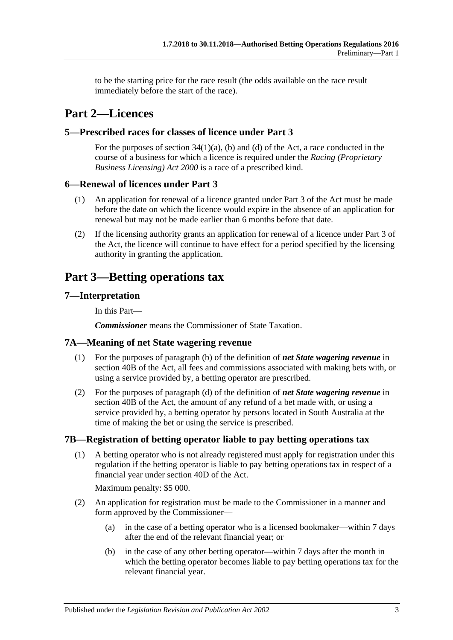to be the starting price for the race result (the odds available on the race result immediately before the start of the race).

## <span id="page-2-0"></span>**Part 2—Licences**

### <span id="page-2-1"></span>**5—Prescribed races for classes of licence under Part 3**

For the purposes of section  $34(1)(a)$ , (b) and (d) of the Act, a race conducted in the course of a business for which a licence is required under the *[Racing \(Proprietary](http://www.legislation.sa.gov.au/index.aspx?action=legref&type=act&legtitle=Racing%20(Proprietary%20Business%20Licensing)%20Act%202000)  [Business Licensing\) Act](http://www.legislation.sa.gov.au/index.aspx?action=legref&type=act&legtitle=Racing%20(Proprietary%20Business%20Licensing)%20Act%202000) 2000* is a race of a prescribed kind.

#### <span id="page-2-2"></span>**6—Renewal of licences under Part 3**

- (1) An application for renewal of a licence granted under Part 3 of the Act must be made before the date on which the licence would expire in the absence of an application for renewal but may not be made earlier than 6 months before that date.
- (2) If the licensing authority grants an application for renewal of a licence under Part 3 of the Act, the licence will continue to have effect for a period specified by the licensing authority in granting the application.

# <span id="page-2-3"></span>**Part 3—Betting operations tax**

### <span id="page-2-4"></span>**7—Interpretation**

In this Part—

*Commissioner* means the Commissioner of State Taxation.

#### <span id="page-2-5"></span>**7A—Meaning of net State wagering revenue**

- (1) For the purposes of paragraph (b) of the definition of *net State wagering revenue* in section 40B of the Act, all fees and commissions associated with making bets with, or using a service provided by, a betting operator are prescribed.
- (2) For the purposes of paragraph (d) of the definition of *net State wagering revenue* in section 40B of the Act, the amount of any refund of a bet made with, or using a service provided by, a betting operator by persons located in South Australia at the time of making the bet or using the service is prescribed.

#### <span id="page-2-7"></span><span id="page-2-6"></span>**7B—Registration of betting operator liable to pay betting operations tax**

(1) A betting operator who is not already registered must apply for registration under this regulation if the betting operator is liable to pay betting operations tax in respect of a financial year under section 40D of the Act.

Maximum penalty: \$5 000.

- (2) An application for registration must be made to the Commissioner in a manner and form approved by the Commissioner—
	- (a) in the case of a betting operator who is a licensed bookmaker—within 7 days after the end of the relevant financial year; or
	- (b) in the case of any other betting operator—within 7 days after the month in which the betting operator becomes liable to pay betting operations tax for the relevant financial year.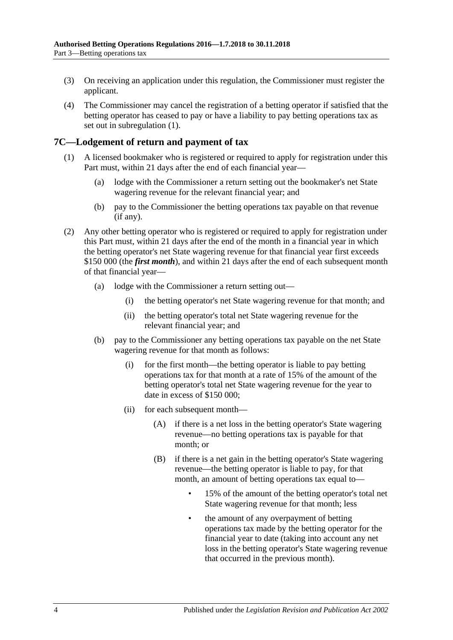- (3) On receiving an application under this regulation, the Commissioner must register the applicant.
- (4) The Commissioner may cancel the registration of a betting operator if satisfied that the betting operator has ceased to pay or have a liability to pay betting operations tax as set out in [subregulation](#page-2-7) (1).

### <span id="page-3-0"></span>**7C—Lodgement of return and payment of tax**

- (1) A licensed bookmaker who is registered or required to apply for registration under this Part must, within 21 days after the end of each financial year—
	- (a) lodge with the Commissioner a return setting out the bookmaker's net State wagering revenue for the relevant financial year; and
	- (b) pay to the Commissioner the betting operations tax payable on that revenue (if any).
- (2) Any other betting operator who is registered or required to apply for registration under this Part must, within 21 days after the end of the month in a financial year in which the betting operator's net State wagering revenue for that financial year first exceeds \$150 000 (the *first month*), and within 21 days after the end of each subsequent month of that financial year—
	- (a) lodge with the Commissioner a return setting out—
		- (i) the betting operator's net State wagering revenue for that month; and
		- (ii) the betting operator's total net State wagering revenue for the relevant financial year; and
	- (b) pay to the Commissioner any betting operations tax payable on the net State wagering revenue for that month as follows:
		- (i) for the first month—the betting operator is liable to pay betting operations tax for that month at a rate of 15% of the amount of the betting operator's total net State wagering revenue for the year to date in excess of \$150 000;
		- (ii) for each subsequent month—
			- (A) if there is a net loss in the betting operator's State wagering revenue—no betting operations tax is payable for that month; or
			- (B) if there is a net gain in the betting operator's State wagering revenue—the betting operator is liable to pay, for that month, an amount of betting operations tax equal to—
				- 15% of the amount of the betting operator's total net State wagering revenue for that month; less
				- the amount of any overpayment of betting operations tax made by the betting operator for the financial year to date (taking into account any net loss in the betting operator's State wagering revenue that occurred in the previous month).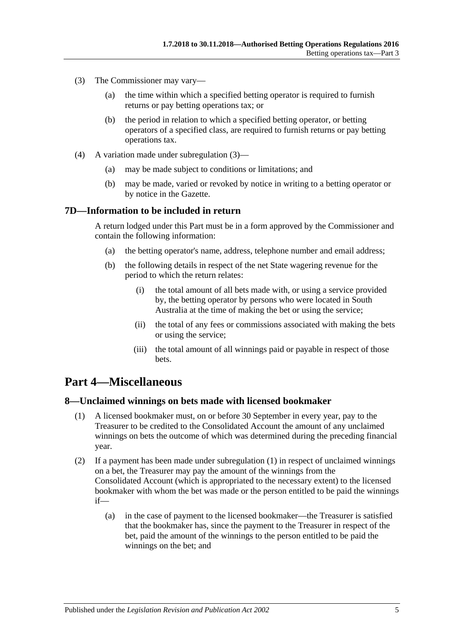- <span id="page-4-3"></span>(3) The Commissioner may vary—
	- (a) the time within which a specified betting operator is required to furnish returns or pay betting operations tax; or
	- (b) the period in relation to which a specified betting operator, or betting operators of a specified class, are required to furnish returns or pay betting operations tax.
- (4) A variation made under [subregulation](#page-4-3) (3)—
	- (a) may be made subject to conditions or limitations; and
	- (b) may be made, varied or revoked by notice in writing to a betting operator or by notice in the Gazette.

#### <span id="page-4-0"></span>**7D—Information to be included in return**

A return lodged under this Part must be in a form approved by the Commissioner and contain the following information:

- (a) the betting operator's name, address, telephone number and email address;
- (b) the following details in respect of the net State wagering revenue for the period to which the return relates:
	- (i) the total amount of all bets made with, or using a service provided by, the betting operator by persons who were located in South Australia at the time of making the bet or using the service;
	- (ii) the total of any fees or commissions associated with making the bets or using the service;
	- (iii) the total amount of all winnings paid or payable in respect of those bets.

## <span id="page-4-1"></span>**Part 4—Miscellaneous**

#### <span id="page-4-4"></span><span id="page-4-2"></span>**8—Unclaimed winnings on bets made with licensed bookmaker**

- (1) A licensed bookmaker must, on or before 30 September in every year, pay to the Treasurer to be credited to the Consolidated Account the amount of any unclaimed winnings on bets the outcome of which was determined during the preceding financial year.
- (2) If a payment has been made under [subregulation](#page-4-4) (1) in respect of unclaimed winnings on a bet, the Treasurer may pay the amount of the winnings from the Consolidated Account (which is appropriated to the necessary extent) to the licensed bookmaker with whom the bet was made or the person entitled to be paid the winnings if—
	- (a) in the case of payment to the licensed bookmaker—the Treasurer is satisfied that the bookmaker has, since the payment to the Treasurer in respect of the bet, paid the amount of the winnings to the person entitled to be paid the winnings on the bet; and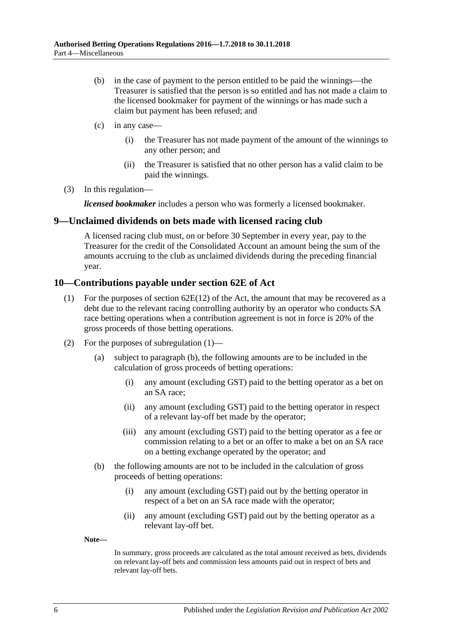- (b) in the case of payment to the person entitled to be paid the winnings—the Treasurer is satisfied that the person is so entitled and has not made a claim to the licensed bookmaker for payment of the winnings or has made such a claim but payment has been refused; and
- (c) in any case—
	- (i) the Treasurer has not made payment of the amount of the winnings to any other person; and
	- (ii) the Treasurer is satisfied that no other person has a valid claim to be paid the winnings.
- (3) In this regulation—

*licensed bookmaker* includes a person who was formerly a licensed bookmaker.

#### <span id="page-5-0"></span>**9—Unclaimed dividends on bets made with licensed racing club**

A licensed racing club must, on or before 30 September in every year, pay to the Treasurer for the credit of the Consolidated Account an amount being the sum of the amounts accruing to the club as unclaimed dividends during the preceding financial year.

#### <span id="page-5-2"></span><span id="page-5-1"></span>**10—Contributions payable under section 62E of Act**

- (1) For the purposes of section  $62E(12)$  of the Act, the amount that may be recovered as a debt due to the relevant racing controlling authority by an operator who conducts SA race betting operations when a contribution agreement is not in force is 20% of the gross proceeds of those betting operations.
- (2) For the purposes of [subregulation](#page-5-2) (1)—
	- (a) subject to [paragraph](#page-5-3) (b), the following amounts are to be included in the calculation of gross proceeds of betting operations:
		- (i) any amount (excluding GST) paid to the betting operator as a bet on an SA race;
		- (ii) any amount (excluding GST) paid to the betting operator in respect of a relevant lay-off bet made by the operator;
		- (iii) any amount (excluding GST) paid to the betting operator as a fee or commission relating to a bet or an offer to make a bet on an SA race on a betting exchange operated by the operator; and
	- (b) the following amounts are not to be included in the calculation of gross proceeds of betting operations:
		- (i) any amount (excluding GST) paid out by the betting operator in respect of a bet on an SA race made with the operator;
		- (ii) any amount (excluding GST) paid out by the betting operator as a relevant lay-off bet.

<span id="page-5-3"></span>**Note—**

In summary, gross proceeds are calculated as the total amount received as bets, dividends on relevant lay-off bets and commission less amounts paid out in respect of bets and relevant lay-off bets.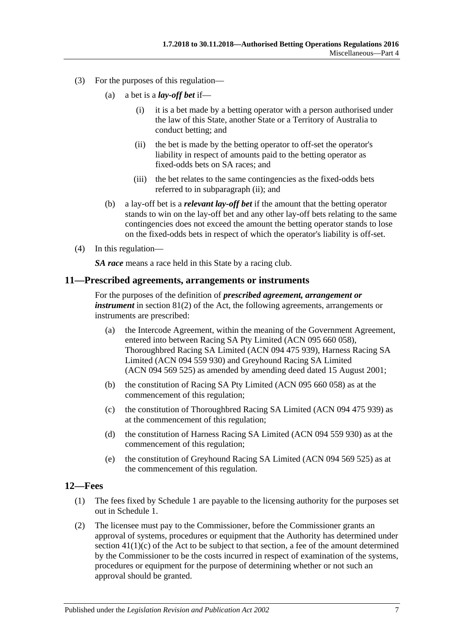- <span id="page-6-2"></span>(3) For the purposes of this regulation—
	- (a) a bet is a *lay-off bet* if—
		- (i) it is a bet made by a betting operator with a person authorised under the law of this State, another State or a Territory of Australia to conduct betting; and
		- (ii) the bet is made by the betting operator to off-set the operator's liability in respect of amounts paid to the betting operator as fixed-odds bets on SA races; and
		- (iii) the bet relates to the same contingencies as the fixed-odds bets referred to in [subparagraph](#page-6-2) (ii); and
	- (b) a lay-off bet is a *relevant lay-off bet* if the amount that the betting operator stands to win on the lay-off bet and any other lay-off bets relating to the same contingencies does not exceed the amount the betting operator stands to lose on the fixed-odds bets in respect of which the operator's liability is off-set.
- (4) In this regulation—

*SA race* means a race held in this State by a racing club.

#### <span id="page-6-0"></span>**11—Prescribed agreements, arrangements or instruments**

For the purposes of the definition of *prescribed agreement, arrangement or instrument* in section 81(2) of the Act, the following agreements, arrangements or instruments are prescribed:

- (a) the Intercode Agreement, within the meaning of the Government Agreement, entered into between Racing SA Pty Limited (ACN 095 660 058), Thoroughbred Racing SA Limited (ACN 094 475 939), Harness Racing SA Limited (ACN 094 559 930) and Greyhound Racing SA Limited (ACN 094 569 525) as amended by amending deed dated 15 August 2001;
- (b) the constitution of Racing SA Pty Limited (ACN 095 660 058) as at the commencement of this regulation;
- (c) the constitution of Thoroughbred Racing SA Limited (ACN 094 475 939) as at the commencement of this regulation;
- (d) the constitution of Harness Racing SA Limited (ACN 094 559 930) as at the commencement of this regulation;
- (e) the constitution of Greyhound Racing SA Limited (ACN 094 569 525) as at the commencement of this regulation.

#### <span id="page-6-1"></span>**12—Fees**

- (1) The fees fixed by [Schedule](#page-7-0) 1 are payable to the licensing authority for the purposes set out in [Schedule](#page-7-0) 1.
- <span id="page-6-3"></span>(2) The licensee must pay to the Commissioner, before the Commissioner grants an approval of systems, procedures or equipment that the Authority has determined under section  $41(1)(c)$  of the Act to be subject to that section, a fee of the amount determined by the Commissioner to be the costs incurred in respect of examination of the systems, procedures or equipment for the purpose of determining whether or not such an approval should be granted.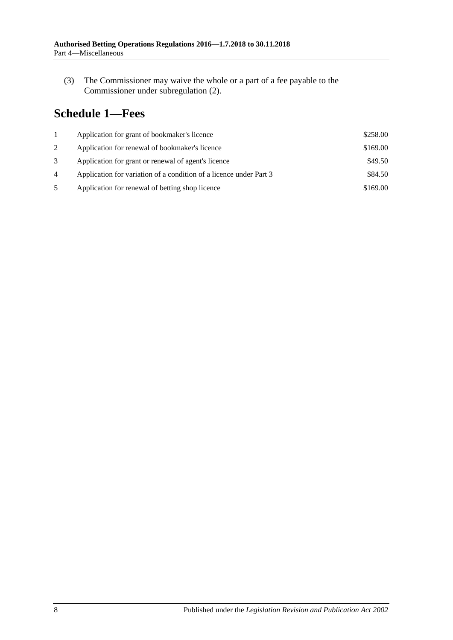(3) The Commissioner may waive the whole or a part of a fee payable to the Commissioner under [subregulation](#page-6-3) (2).

# <span id="page-7-0"></span>**Schedule 1—Fees**

|                | Application for grant of bookmaker's licence                       | \$258.00 |
|----------------|--------------------------------------------------------------------|----------|
| 2              | Application for renewal of bookmaker's licence                     | \$169.00 |
| 3              | Application for grant or renewal of agent's licence                | \$49.50  |
| $\overline{4}$ | Application for variation of a condition of a licence under Part 3 | \$84.50  |
| 5              | Application for renewal of betting shop licence                    | \$169.00 |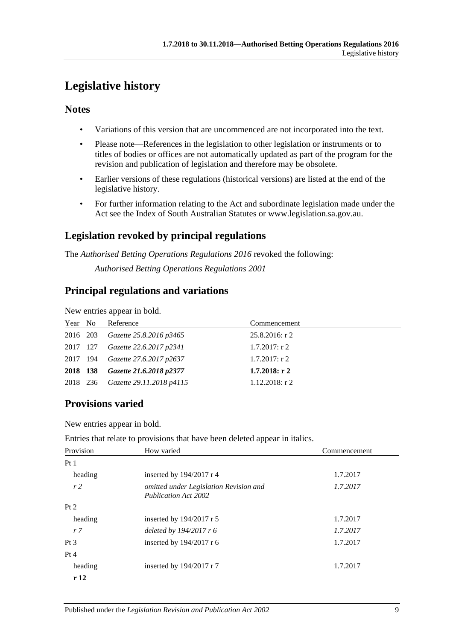# <span id="page-8-0"></span>**Legislative history**

### **Notes**

- Variations of this version that are uncommenced are not incorporated into the text.
- Please note—References in the legislation to other legislation or instruments or to titles of bodies or offices are not automatically updated as part of the program for the revision and publication of legislation and therefore may be obsolete.
- Earlier versions of these regulations (historical versions) are listed at the end of the legislative history.
- For further information relating to the Act and subordinate legislation made under the Act see the Index of South Australian Statutes or www.legislation.sa.gov.au.

## **Legislation revoked by principal regulations**

The *Authorised Betting Operations Regulations 2016* revoked the following:

*Authorised Betting Operations Regulations 2001*

## **Principal regulations and variations**

New entries appear in bold.

| Year No  |          | Reference                         | Commencement      |
|----------|----------|-----------------------------------|-------------------|
| 2016 203 |          | Gazette 25.8.2016 p3465           | 25.8.2016: r 2    |
|          | 2017 127 | Gazette 22.6.2017 p2341           | $1.7.2017$ : r 2  |
|          |          | 2017 194 Gazette 27.6.2017 p2637  | $1.7.2017$ : r 2  |
|          |          | 2018 138 Gazette 21.6.2018 p2377  | $1.7.2018:$ r 2   |
|          |          | 2018 236 Gazette 29.11.2018 p4115 | $1.12.2018$ : r 2 |

## **Provisions varied**

New entries appear in bold.

Entries that relate to provisions that have been deleted appear in italics.

| Provision       | How varied                                                            | Commencement |
|-----------------|-----------------------------------------------------------------------|--------------|
| Pt1             |                                                                       |              |
| heading         | inserted by $194/2017$ r 4                                            | 1.7.2017     |
| r <sub>2</sub>  | omitted under Legislation Revision and<br><b>Publication Act 2002</b> | 1.7.2017     |
| Pt 2            |                                                                       |              |
| heading         | inserted by $194/2017$ r 5                                            | 1.7.2017     |
| r <sub>7</sub>  | deleted by $194/2017$ r 6                                             | 1.7.2017     |
| Pt <sub>3</sub> | inserted by $194/2017$ r 6                                            | 1.7.2017     |
| Pt 4            |                                                                       |              |
| heading<br>r12  | inserted by 194/2017 r 7                                              | 1.7.2017     |